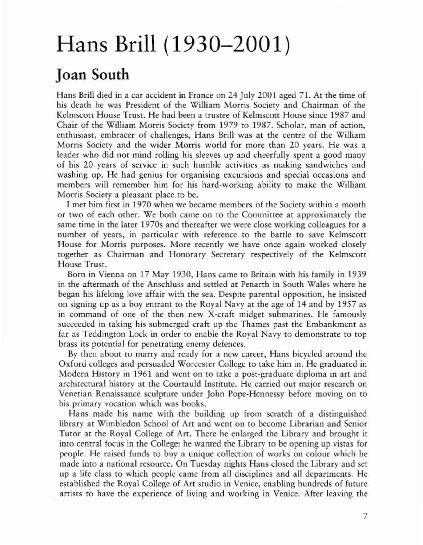## Hans Brill (1930-2001)

## Joan South

Hans Brill died in a car accident in France on 24 July 2001 aged 71. At the time of his death he was President of the William Morris Society and Chairman of the Kelmscott House Trust. He had been a trustee of Kelmscott House since 1987 and Chair of the William Morris Society from 1979 to 1987. Scholar, man of action, enthusiast, embracer of challenges, Hans Brill was at the cemre of the William Morris Society and the wider Morris world for more than 20 years. He was a leader who did not mind rolling his sleeves up and cheerfully spent a good many of his 20 years of service in such humble activities as making sandwiches and washing up. He had genius for organising excursions and special occasions and members will remember him for his hard-working ability to make the William Morris Society a pleasant place to be.

I mer him first in 1970 when we became members of the Sociery within a month or two of each other. We both came on to the Committee at approximately the same time in the later 1970s and thereafter we were close working colleagues for a number of years, in particular with reference to the battle to save Kelmscott House for Morris purposes. Mote recently we have once again worked closely together as Chairman and Honorary Secretary respectively of the Kelmscott House Trust.

Born in Vienna on 17 May 1930, Hans came to Britain with his family in 1939 in the aftermath of the Anschluss and settled at Penarrh in South Wales where he began his lifelong love affair with the sea. Despite parental opposition, he insisted on signing up as a boy entrant to the Royal Navy at the age of 14 and by 1957 as in command of one of the then new X-craft midget submarines. He famously succeeded in taking his submerged craft up the Thames past the Embankment as far as Teddington Lock in order to enable the Royal Navy to demonstrate to top brass its potential for penetrating enemy defences.

By then about to marry and ready for a new career, Hans bicycled around the Oxford colleges and persuaded Worcester College to take him in. He graduated in Modern History in 1961 and went on to take a post-graduate diploma in art and architectural history at the Courtauld lnstitute. He carried out major research on Venetian Renaissance sculpture under John Pope-Hennessy before moving on to his primary vocation which was books.

Hans made his name with the building up from scratch of a distinguished library at Wimbledon School of Art and went on to become Librarian and Senior Tutor at the Royal College of Art. There he enlarged the Library and brought it into central focus in the College: he wanted the Library to be opening up vistas for people. He raised funds to buy a unique collection of works on colour which he made into a national resource. On Tuesday nights Hans closed the Library and ser up a life class to which people came from all disciplines and all departments. He established the Royal College of Art Studio in Venice, enabling hundreds of furure artists to have the experience of living and working in Venice. After leaving the